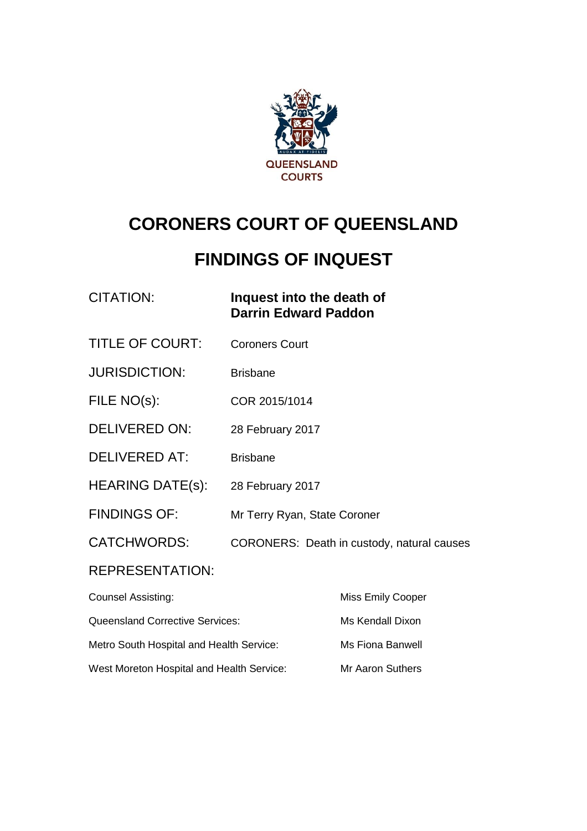

# **CORONERS COURT OF QUEENSLAND**

## **FINDINGS OF INQUEST**

| CITATION: | Inquest into the death of   |
|-----------|-----------------------------|
|           | <b>Darrin Edward Paddon</b> |

- TITLE OF COURT: Coroners Court
- JURISDICTION: Brisbane
- FILE NO(s): COR 2015/1014
- DELIVERED ON: 28 February 2017
- DELIVERED AT: Brisbane
- HEARING DATE(s): 28 February 2017
- FINDINGS OF: Mr Terry Ryan, State Coroner
- CATCHWORDS: CORONERS: Death in custody, natural causes

#### REPRESENTATION:

| <b>Counsel Assisting:</b>                 | <b>Miss Emily Cooper</b> |
|-------------------------------------------|--------------------------|
| <b>Queensland Corrective Services:</b>    | Ms Kendall Dixon         |
| Metro South Hospital and Health Service:  | Ms Fiona Banwell         |
| West Moreton Hospital and Health Service: | Mr Aaron Suthers         |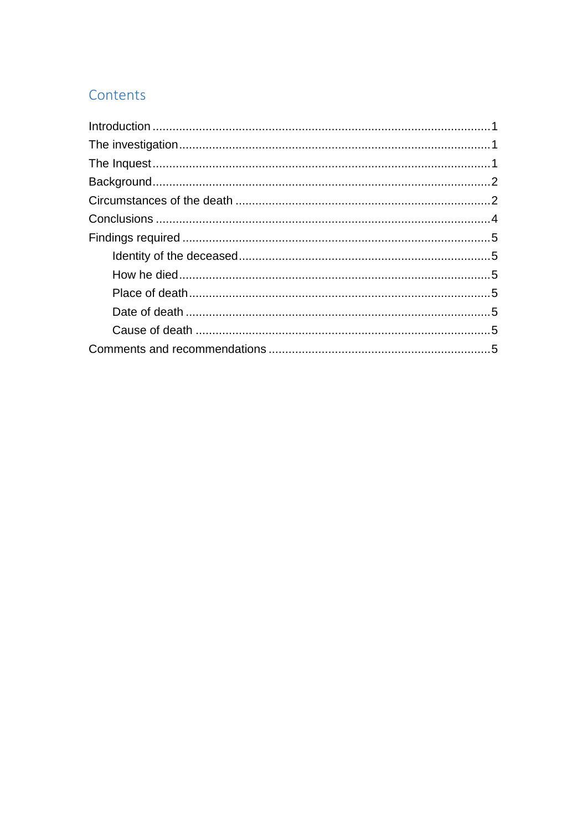## Contents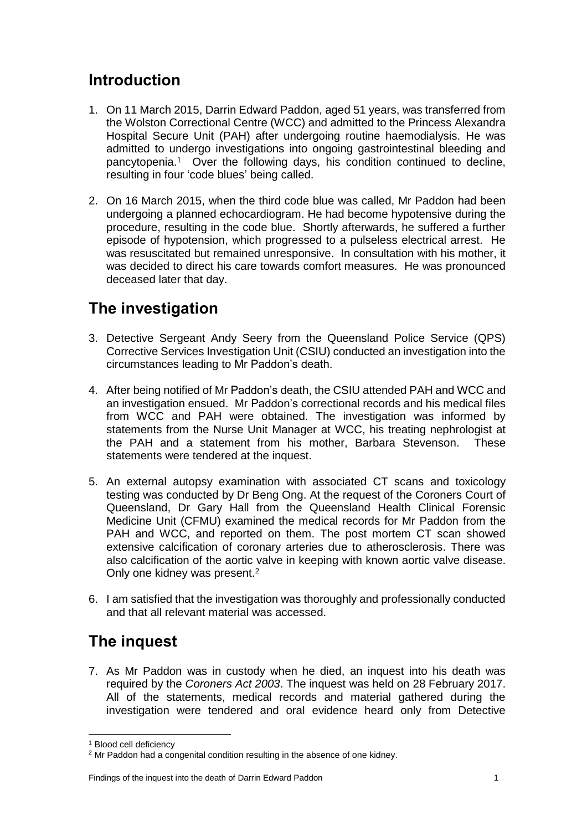#### <span id="page-2-0"></span>**Introduction**

- 1. On 11 March 2015, Darrin Edward Paddon, aged 51 years, was transferred from the Wolston Correctional Centre (WCC) and admitted to the Princess Alexandra Hospital Secure Unit (PAH) after undergoing routine haemodialysis. He was admitted to undergo investigations into ongoing gastrointestinal bleeding and pancytopenia. 1 Over the following days, his condition continued to decline, resulting in four 'code blues' being called.
- 2. On 16 March 2015, when the third code blue was called, Mr Paddon had been undergoing a planned echocardiogram. He had become hypotensive during the procedure, resulting in the code blue. Shortly afterwards, he suffered a further episode of hypotension, which progressed to a pulseless electrical arrest. He was resuscitated but remained unresponsive. In consultation with his mother, it was decided to direct his care towards comfort measures. He was pronounced deceased later that day.

## <span id="page-2-1"></span>**The investigation**

- 3. Detective Sergeant Andy Seery from the Queensland Police Service (QPS) Corrective Services Investigation Unit (CSIU) conducted an investigation into the circumstances leading to Mr Paddon's death.
- 4. After being notified of Mr Paddon's death, the CSIU attended PAH and WCC and an investigation ensued. Mr Paddon's correctional records and his medical files from WCC and PAH were obtained. The investigation was informed by statements from the Nurse Unit Manager at WCC, his treating nephrologist at the PAH and a statement from his mother, Barbara Stevenson. These statements were tendered at the inquest.
- 5. An external autopsy examination with associated CT scans and toxicology testing was conducted by Dr Beng Ong. At the request of the Coroners Court of Queensland, Dr Gary Hall from the Queensland Health Clinical Forensic Medicine Unit (CFMU) examined the medical records for Mr Paddon from the PAH and WCC, and reported on them. The post mortem CT scan showed extensive calcification of coronary arteries due to atherosclerosis. There was also calcification of the aortic valve in keeping with known aortic valve disease. Only one kidney was present.<sup>2</sup>
- 6. I am satisfied that the investigation was thoroughly and professionally conducted and that all relevant material was accessed.

## <span id="page-2-2"></span>**The inquest**

7. As Mr Paddon was in custody when he died, an inquest into his death was required by the *Coroners Act 2003*. The inquest was held on 28 February 2017. All of the statements, medical records and material gathered during the investigation were tendered and oral evidence heard only from Detective

<sup>&</sup>lt;sup>1</sup> Blood cell deficiency

<sup>&</sup>lt;sup>2</sup> Mr Paddon had a congenital condition resulting in the absence of one kidney.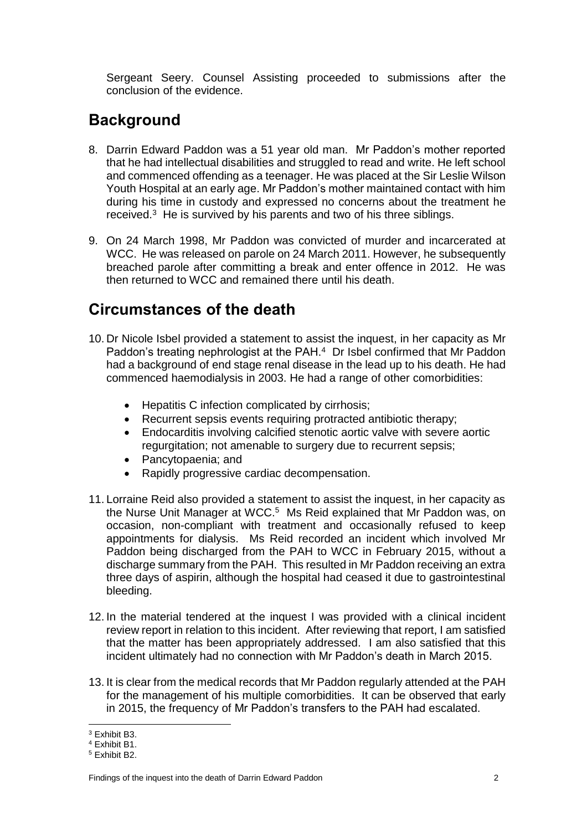Sergeant Seery. Counsel Assisting proceeded to submissions after the conclusion of the evidence.

#### <span id="page-3-0"></span>**Background**

- 8. Darrin Edward Paddon was a 51 year old man. Mr Paddon's mother reported that he had intellectual disabilities and struggled to read and write. He left school and commenced offending as a teenager. He was placed at the Sir Leslie Wilson Youth Hospital at an early age. Mr Paddon's mother maintained contact with him during his time in custody and expressed no concerns about the treatment he received.<sup>3</sup> He is survived by his parents and two of his three siblings.
- 9. On 24 March 1998, Mr Paddon was convicted of murder and incarcerated at WCC. He was released on parole on 24 March 2011. However, he subsequently breached parole after committing a break and enter offence in 2012. He was then returned to WCC and remained there until his death.

## <span id="page-3-1"></span>**Circumstances of the death**

- 10. Dr Nicole Isbel provided a statement to assist the inquest, in her capacity as Mr Paddon's treating nephrologist at the PAH.<sup>4</sup> Dr Isbel confirmed that Mr Paddon had a background of end stage renal disease in the lead up to his death. He had commenced haemodialysis in 2003. He had a range of other comorbidities:
	- Hepatitis C infection complicated by cirrhosis;
	- Recurrent sepsis events requiring protracted antibiotic therapy;
	- Endocarditis involving calcified stenotic aortic valve with severe aortic regurgitation; not amenable to surgery due to recurrent sepsis;
	- Pancytopaenia; and
	- Rapidly progressive cardiac decompensation.
- 11. Lorraine Reid also provided a statement to assist the inquest, in her capacity as the Nurse Unit Manager at WCC.<sup>5</sup> Ms Reid explained that Mr Paddon was, on occasion, non-compliant with treatment and occasionally refused to keep appointments for dialysis. Ms Reid recorded an incident which involved Mr Paddon being discharged from the PAH to WCC in February 2015, without a discharge summary from the PAH. This resulted in Mr Paddon receiving an extra three days of aspirin, although the hospital had ceased it due to gastrointestinal bleeding.
- 12. In the material tendered at the inquest I was provided with a clinical incident review report in relation to this incident. After reviewing that report, I am satisfied that the matter has been appropriately addressed. I am also satisfied that this incident ultimately had no connection with Mr Paddon's death in March 2015.
- 13. It is clear from the medical records that Mr Paddon regularly attended at the PAH for the management of his multiple comorbidities. It can be observed that early in 2015, the frequency of Mr Paddon's transfers to the PAH had escalated.

 $\overline{\phantom{a}}$ 

<sup>3</sup> Exhibit B3.

<sup>4</sup> Exhibit B1.

<sup>5</sup> Exhibit B2.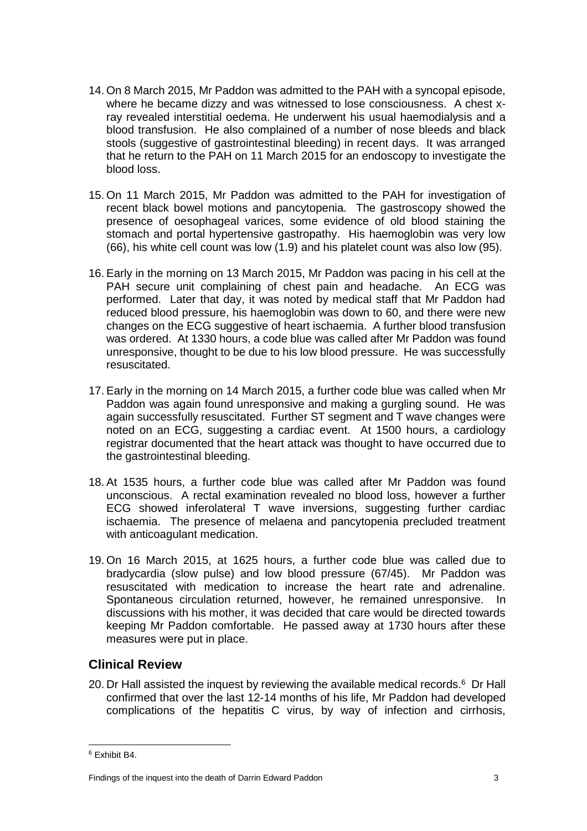- 14. On 8 March 2015, Mr Paddon was admitted to the PAH with a syncopal episode, where he became dizzy and was witnessed to lose consciousness. A chest xray revealed interstitial oedema. He underwent his usual haemodialysis and a blood transfusion. He also complained of a number of nose bleeds and black stools (suggestive of gastrointestinal bleeding) in recent days. It was arranged that he return to the PAH on 11 March 2015 for an endoscopy to investigate the blood loss.
- 15. On 11 March 2015, Mr Paddon was admitted to the PAH for investigation of recent black bowel motions and pancytopenia. The gastroscopy showed the presence of oesophageal varices, some evidence of old blood staining the stomach and portal hypertensive gastropathy. His haemoglobin was very low (66), his white cell count was low (1.9) and his platelet count was also low (95).
- 16. Early in the morning on 13 March 2015, Mr Paddon was pacing in his cell at the PAH secure unit complaining of chest pain and headache. An ECG was performed. Later that day, it was noted by medical staff that Mr Paddon had reduced blood pressure, his haemoglobin was down to 60, and there were new changes on the ECG suggestive of heart ischaemia. A further blood transfusion was ordered. At 1330 hours, a code blue was called after Mr Paddon was found unresponsive, thought to be due to his low blood pressure. He was successfully resuscitated.
- 17. Early in the morning on 14 March 2015, a further code blue was called when Mr Paddon was again found unresponsive and making a gurgling sound. He was again successfully resuscitated. Further ST segment and T wave changes were noted on an ECG, suggesting a cardiac event. At 1500 hours, a cardiology registrar documented that the heart attack was thought to have occurred due to the gastrointestinal bleeding.
- 18. At 1535 hours, a further code blue was called after Mr Paddon was found unconscious. A rectal examination revealed no blood loss, however a further ECG showed inferolateral T wave inversions, suggesting further cardiac ischaemia. The presence of melaena and pancytopenia precluded treatment with anticoagulant medication.
- 19. On 16 March 2015, at 1625 hours, a further code blue was called due to bradycardia (slow pulse) and low blood pressure (67/45). Mr Paddon was resuscitated with medication to increase the heart rate and adrenaline. Spontaneous circulation returned, however, he remained unresponsive. In discussions with his mother, it was decided that care would be directed towards keeping Mr Paddon comfortable. He passed away at 1730 hours after these measures were put in place.

#### **Clinical Review**

20. Dr Hall assisted the inquest by reviewing the available medical records.<sup>6</sup> Dr Hall confirmed that over the last 12-14 months of his life, Mr Paddon had developed complications of the hepatitis C virus, by way of infection and cirrhosis,

 $\overline{\phantom{a}}$ <sup>6</sup> Exhibit B4.

Findings of the inquest into the death of Darrin Edward Paddon 3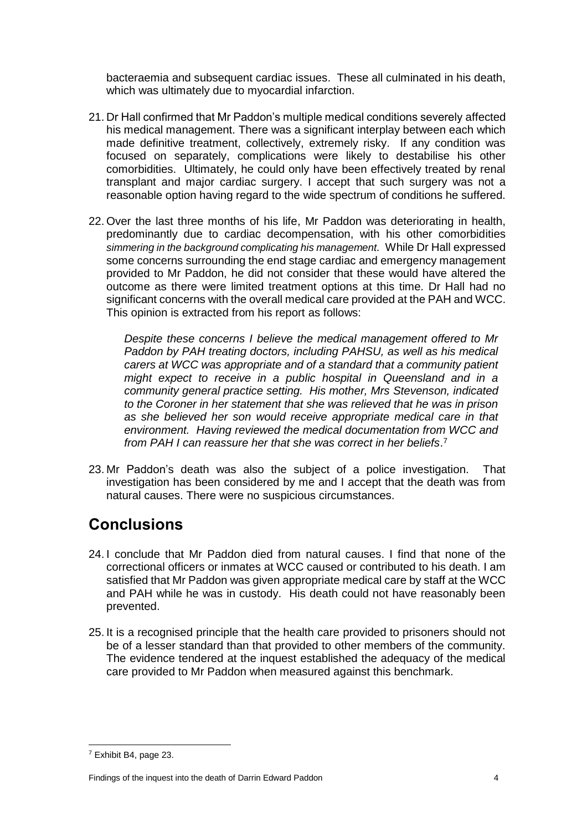bacteraemia and subsequent cardiac issues. These all culminated in his death, which was ultimately due to myocardial infarction.

- 21. Dr Hall confirmed that Mr Paddon's multiple medical conditions severely affected his medical management. There was a significant interplay between each which made definitive treatment, collectively, extremely risky. If any condition was focused on separately, complications were likely to destabilise his other comorbidities. Ultimately, he could only have been effectively treated by renal transplant and major cardiac surgery. I accept that such surgery was not a reasonable option having regard to the wide spectrum of conditions he suffered.
- 22. Over the last three months of his life, Mr Paddon was deteriorating in health, predominantly due to cardiac decompensation, with his other comorbidities *simmering in the background complicating his management.* While Dr Hall expressed some concerns surrounding the end stage cardiac and emergency management provided to Mr Paddon, he did not consider that these would have altered the outcome as there were limited treatment options at this time. Dr Hall had no significant concerns with the overall medical care provided at the PAH and WCC. This opinion is extracted from his report as follows:

*Despite these concerns I believe the medical management offered to Mr Paddon by PAH treating doctors, including PAHSU, as well as his medical carers at WCC was appropriate and of a standard that a community patient might expect to receive in a public hospital in Queensland and in a community general practice setting. His mother, Mrs Stevenson, indicated to the Coroner in her statement that she was relieved that he was in prison as she believed her son would receive appropriate medical care in that environment. Having reviewed the medical documentation from WCC and from PAH I can reassure her that she was correct in her beliefs*. 7

23. Mr Paddon's death was also the subject of a police investigation. That investigation has been considered by me and I accept that the death was from natural causes. There were no suspicious circumstances.

### <span id="page-5-0"></span>**Conclusions**

- 24. I conclude that Mr Paddon died from natural causes. I find that none of the correctional officers or inmates at WCC caused or contributed to his death. I am satisfied that Mr Paddon was given appropriate medical care by staff at the WCC and PAH while he was in custody. His death could not have reasonably been prevented.
- 25. It is a recognised principle that the health care provided to prisoners should not be of a lesser standard than that provided to other members of the community. The evidence tendered at the inquest established the adequacy of the medical care provided to Mr Paddon when measured against this benchmark.

 $\overline{\phantom{a}}$ 

<sup>7</sup> Exhibit B4, page 23.